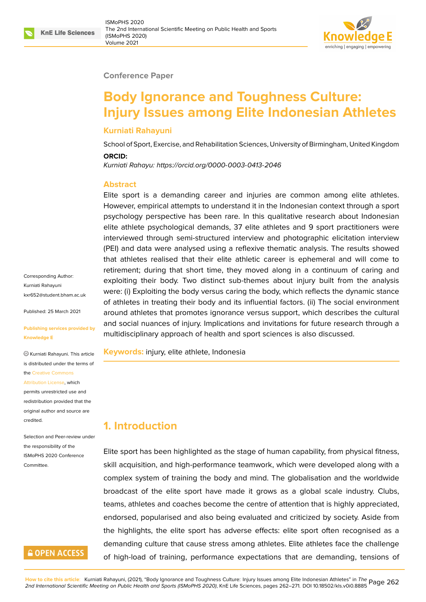#### **Conference Paper**

# **Body Ignorance and Toughness Culture: Injury Issues among Elite Indonesian Athletes**

#### **Kurniati Rahayuni**

School of Sport, Exercise, and Rehabilitation Sciences, University of Birmingham, United Kingdom **ORCID:**

*Kurniati Rahayu: https://orcid.org/0000-0003-0413-2046*

#### **Abstract**

Elite sport is a demanding career and injuries are common among elite athletes. However, empi[rical attempts to understand it in the I](https://orcid.org/0000-0003-0413-2046)ndonesian context through a sport psychology perspective has been rare. In this qualitative research about Indonesian elite athlete psychological demands, 37 elite athletes and 9 sport practitioners were interviewed through semi-structured interview and photographic elicitation interview (PEI) and data were analysed using a reflexive thematic analysis. The results showed that athletes realised that their elite athletic career is ephemeral and will come to retirement; during that short time, they moved along in a continuum of caring and exploiting their body. Two distinct sub-themes about injury built from the analysis were: (i) Exploiting the body versus caring the body, which reflects the dynamic stance of athletes in treating their body and its influential factors. (ii) The social environment around athletes that promotes ignorance versus support, which describes the cultural and social nuances of injury. Implications and invitations for future research through a multidisciplinary approach of health and sport sciences is also discussed.

**Keywords:** injury, elite athlete, Indonesia

# **1. Introduction**

Elite sport has been highlighted as the stage of human capability, from physical fitness, skill acquisition, and high-performance teamwork, which were developed along with a complex system of training the body and mind. The globalisation and the worldwide broadcast of the elite sport have made it grows as a global scale industry. Clubs, teams, athletes and coaches become the centre of attention that is highly appreciated, endorsed, popularised and also being evaluated and criticized by society. Aside from the highlights, the elite sport has adverse effects: elite sport often recognised as a demanding culture that cause stress among athletes. Elite athletes face the challenge of high-load of training, performance expectations that are demanding, tensions of

Corresponding Author: Kurniati Rahayuni kxr652@student.bham.ac.uk

Published: 25 March 2021

#### **[Publishing services provided](mailto:kxr652@student.bham.ac.uk) by Knowledge E**

Kurniati Rahayuni. This article is distributed under the terms of the Creative Commons

#### Attribution License, which

permits unrestricted use and redistribution provided that the orig[inal author and sou](https://creativecommons.org/licenses/by/4.0/)rce are [credited.](https://creativecommons.org/licenses/by/4.0/)

Selection and Peer-review under the responsibility of the ISMoPHS 2020 Conference Committee.

# **GOPEN ACCESS**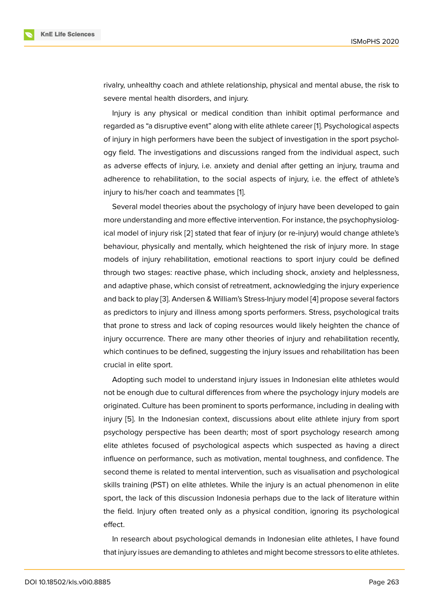rivalry, unhealthy coach and athlete relationship, physical and mental abuse, the risk to severe mental health disorders, and injury.

Injury is any physical or medical condition than inhibit optimal performance and regarded as "a disruptive event" along with elite athlete career [1]. Psychological aspects of injury in high performers have been the subject of investigation in the sport psychology field. The investigations and discussions ranged from the individual aspect, such as adverse effects of injury, i.e. anxiety and denial after getti[ng](#page-8-0) an injury, trauma and adherence to rehabilitation, to the social aspects of injury, i.e. the effect of athlete's injury to his/her coach and teammates [1].

Several model theories about the psychology of injury have been developed to gain more understanding and more effective intervention. For instance, the psychophysiological model of injury risk [2] stated that f[ea](#page-8-0)r of injury (or re-injury) would change athlete's behaviour, physically and mentally, which heightened the risk of injury more. In stage models of injury rehabilitation, emotional reactions to sport injury could be defined through two stages: rea[ct](#page-8-1)ive phase, which including shock, anxiety and helplessness, and adaptive phase, which consist of retreatment, acknowledging the injury experience and back to play [3]. Andersen & William's Stress-Injury model [4] propose several factors as predictors to injury and illness among sports performers. Stress, psychological traits that prone to stress and lack of coping resources would likely heighten the chance of injury occurrenc[e.](#page-8-2) There are many other theories of injury a[nd](#page-8-3) rehabilitation recently, which continues to be defined, suggesting the injury issues and rehabilitation has been crucial in elite sport.

Adopting such model to understand injury issues in Indonesian elite athletes would not be enough due to cultural differences from where the psychology injury models are originated. Culture has been prominent to sports performance, including in dealing with injury [5]. In the Indonesian context, discussions about elite athlete injury from sport psychology perspective has been dearth; most of sport psychology research among elite athletes focused of psychological aspects which suspected as having a direct influen[ce](#page-8-4) on performance, such as motivation, mental toughness, and confidence. The second theme is related to mental intervention, such as visualisation and psychological skills training (PST) on elite athletes. While the injury is an actual phenomenon in elite sport, the lack of this discussion Indonesia perhaps due to the lack of literature within the field. Injury often treated only as a physical condition, ignoring its psychological effect.

In research about psychological demands in Indonesian elite athletes, I have found that injury issues are demanding to athletes and might become stressors to elite athletes.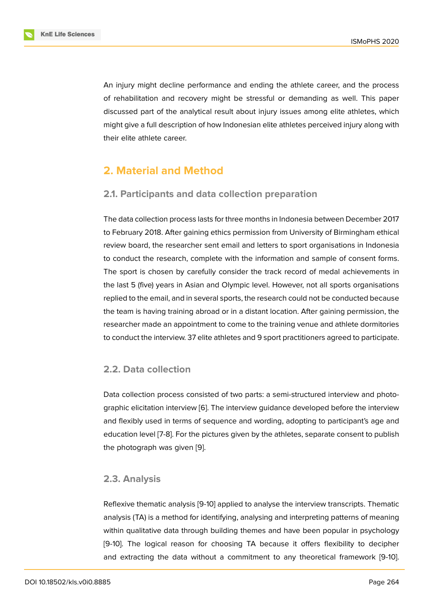An injury might decline performance and ending the athlete career, and the process of rehabilitation and recovery might be stressful or demanding as well. This paper discussed part of the analytical result about injury issues among elite athletes, which might give a full description of how Indonesian elite athletes perceived injury along with their elite athlete career.

# **2. Material and Method**

### **2.1. Participants and data collection preparation**

The data collection process lasts for three months in Indonesia between December 2017 to February 2018. After gaining ethics permission from University of Birmingham ethical review board, the researcher sent email and letters to sport organisations in Indonesia to conduct the research, complete with the information and sample of consent forms. The sport is chosen by carefully consider the track record of medal achievements in the last 5 (five) years in Asian and Olympic level. However, not all sports organisations replied to the email, and in several sports, the research could not be conducted because the team is having training abroad or in a distant location. After gaining permission, the researcher made an appointment to come to the training venue and athlete dormitories to conduct the interview. 37 elite athletes and 9 sport practitioners agreed to participate.

### **2.2. Data collection**

Data collection process consisted of two parts: a semi-structured interview and photographic elicitation interview [6]. The interview guidance developed before the interview and flexibly used in terms of sequence and wording, adopting to participant's age and education level [7-8]. For the pictures given by the athletes, separate consent to publish the photograph was given [[9\].](#page-8-5)

#### **2.3. Analysis**

Reflexive thematic analysis [9-10] applied to analyse the interview transcripts. Thematic analysis (TA) is a method for identifying, analysing and interpreting patterns of meaning within qualitative data through building themes and have been popular in psychology [9-10]. The logical reason for choosing TA because it offers flexibility to decipher and extracting the data without a commitment to any theoretical framework [9-10].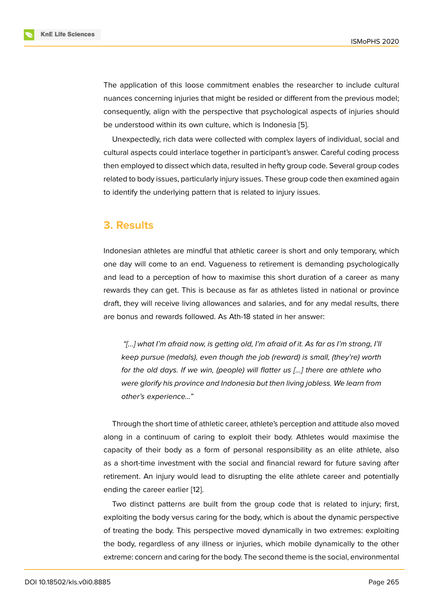The application of this loose commitment enables the researcher to include cultural nuances concerning injuries that might be resided or different from the previous model; consequently, align with the perspective that psychological aspects of injuries should be understood within its own culture, which is Indonesia [5].

Unexpectedly, rich data were collected with complex layers of individual, social and cultural aspects could interlace together in participant's answer. Careful coding process then employed to dissect which data, resulted in hefty gro[up](#page-8-4) code. Several group codes related to body issues, particularly injury issues. These group code then examined again to identify the underlying pattern that is related to injury issues.

# **3. Results**

Indonesian athletes are mindful that athletic career is short and only temporary, which one day will come to an end. Vagueness to retirement is demanding psychologically and lead to a perception of how to maximise this short duration of a career as many rewards they can get. This is because as far as athletes listed in national or province draft, they will receive living allowances and salaries, and for any medal results, there are bonus and rewards followed. As Ath-18 stated in her answer:

*"[…] what I'm afraid now, is getting old, I'm afraid of it. As far as I'm strong, I'll keep pursue (medals), even though the job (reward) is small, (they're) worth for the old days. If we win, (people) will flatter us […] there are athlete who were glorify his province and Indonesia but then living jobless. We learn from other's experience…"*

Through the short time of athletic career, athlete's perception and attitude also moved along in a continuum of caring to exploit their body. Athletes would maximise the capacity of their body as a form of personal responsibility as an elite athlete, also as a short-time investment with the social and financial reward for future saving after retirement. An injury would lead to disrupting the elite athlete career and potentially ending the career earlier [12].

Two distinct patterns are built from the group code that is related to injury; first, exploiting the body versus caring for the body, which is about the dynamic perspective of treating the body. This [pe](#page-9-0)rspective moved dynamically in two extremes: exploiting the body, regardless of any illness or injuries, which mobile dynamically to the other extreme: concern and caring for the body. The second theme is the social, environmental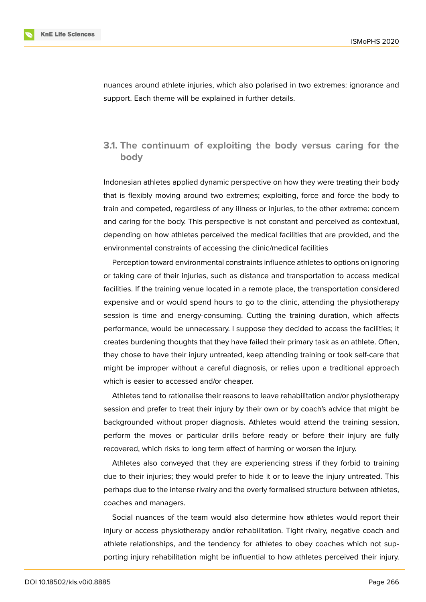nuances around athlete injuries, which also polarised in two extremes: ignorance and support. Each theme will be explained in further details.

### **3.1. The continuum of exploiting the body versus caring for the body**

Indonesian athletes applied dynamic perspective on how they were treating their body that is flexibly moving around two extremes; exploiting, force and force the body to train and competed, regardless of any illness or injuries, to the other extreme: concern and caring for the body. This perspective is not constant and perceived as contextual, depending on how athletes perceived the medical facilities that are provided, and the environmental constraints of accessing the clinic/medical facilities

Perception toward environmental constraints influence athletes to options on ignoring or taking care of their injuries, such as distance and transportation to access medical facilities. If the training venue located in a remote place, the transportation considered expensive and or would spend hours to go to the clinic, attending the physiotherapy session is time and energy-consuming. Cutting the training duration, which affects performance, would be unnecessary. I suppose they decided to access the facilities; it creates burdening thoughts that they have failed their primary task as an athlete. Often, they chose to have their injury untreated, keep attending training or took self-care that might be improper without a careful diagnosis, or relies upon a traditional approach which is easier to accessed and/or cheaper.

Athletes tend to rationalise their reasons to leave rehabilitation and/or physiotherapy session and prefer to treat their injury by their own or by coach's advice that might be backgrounded without proper diagnosis. Athletes would attend the training session, perform the moves or particular drills before ready or before their injury are fully recovered, which risks to long term effect of harming or worsen the injury.

Athletes also conveyed that they are experiencing stress if they forbid to training due to their injuries; they would prefer to hide it or to leave the injury untreated. This perhaps due to the intense rivalry and the overly formalised structure between athletes, coaches and managers.

Social nuances of the team would also determine how athletes would report their injury or access physiotherapy and/or rehabilitation. Tight rivalry, negative coach and athlete relationships, and the tendency for athletes to obey coaches which not supporting injury rehabilitation might be influential to how athletes perceived their injury.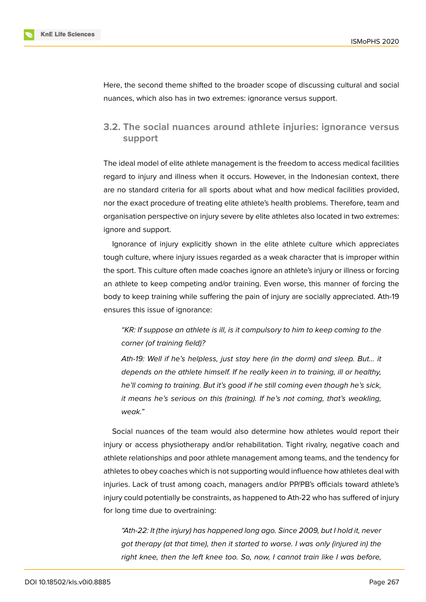Here, the second theme shifted to the broader scope of discussing cultural and social nuances, which also has in two extremes: ignorance versus support.

### **3.2. The social nuances around athlete injuries: ignorance versus support**

The ideal model of elite athlete management is the freedom to access medical facilities regard to injury and illness when it occurs. However, in the Indonesian context, there are no standard criteria for all sports about what and how medical facilities provided, nor the exact procedure of treating elite athlete's health problems. Therefore, team and organisation perspective on injury severe by elite athletes also located in two extremes: ignore and support.

Ignorance of injury explicitly shown in the elite athlete culture which appreciates tough culture, where injury issues regarded as a weak character that is improper within the sport. This culture often made coaches ignore an athlete's injury or illness or forcing an athlete to keep competing and/or training. Even worse, this manner of forcing the body to keep training while suffering the pain of injury are socially appreciated. Ath-19 ensures this issue of ignorance:

*"KR: If suppose an athlete is ill, is it compulsory to him to keep coming to the corner (of training field)?*

*Ath-19: Well if he's helpless, just stay here (in the dorm) and sleep. But… it depends on the athlete himself. If he really keen in to training, ill or healthy, he'll coming to training. But it's good if he still coming even though he's sick, it means he's serious on this (training). If he's not coming, that's weakling, weak."*

Social nuances of the team would also determine how athletes would report their injury or access physiotherapy and/or rehabilitation. Tight rivalry, negative coach and athlete relationships and poor athlete management among teams, and the tendency for athletes to obey coaches which is not supporting would influence how athletes deal with injuries. Lack of trust among coach, managers and/or PP/PB's officials toward athlete's injury could potentially be constraints, as happened to Ath-22 who has suffered of injury for long time due to overtraining:

*"Ath-22: It (the injury) has happened long ago. Since 2009, but I hold it, never got therapy (at that time), then it started to worse. I was only (injured in) the right knee, then the left knee too. So, now, I cannot train like I was before,*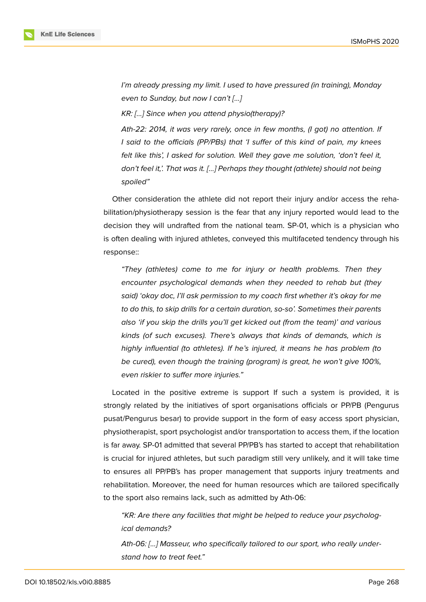

*I'm already pressing my limit. I used to have pressured (in training), Monday even to Sunday, but now I can't […]*

*KR: […] Since when you attend physio(therapy)?*

*Ath-22: 2014, it was very rarely, once in few months, (I got) no attention. If I said to the officials (PP/PBs) that 'I suffer of this kind of pain, my knees felt like this', I asked for solution. Well they gave me solution, 'don't feel it, don't feel it,'. That was it. […] Perhaps they thought (athlete) should not being spoiled"*

Other consideration the athlete did not report their injury and/or access the rehabilitation/physiotherapy session is the fear that any injury reported would lead to the decision they will undrafted from the national team. SP-01, which is a physician who is often dealing with injured athletes, conveyed this multifaceted tendency through his response::

*"They (athletes) come to me for injury or health problems. Then they encounter psychological demands when they needed to rehab but (they said) 'okay doc, I'll ask permission to my coach first whether it's okay for me to do this, to skip drills for a certain duration, so-so'. Sometimes their parents also 'if you skip the drills you'll get kicked out (from the team)' and various kinds (of such excuses). There's always that kinds of demands, which is highly influential (to athletes). If he's injured, it means he has problem (to be cured), even though the training (program) is great, he won't give 100%, even riskier to suffer more injuries."*

Located in the positive extreme is support If such a system is provided, it is strongly related by the initiatives of sport organisations officials or PP/PB (Pengurus pusat/Pengurus besar) to provide support in the form of easy access sport physician, physiotherapist, sport psychologist and/or transportation to access them, if the location is far away. SP-01 admitted that several PP/PB's has started to accept that rehabilitation is crucial for injured athletes, but such paradigm still very unlikely, and it will take time to ensures all PP/PB's has proper management that supports injury treatments and rehabilitation. Moreover, the need for human resources which are tailored specifically to the sport also remains lack, such as admitted by Ath-06:

*"KR: Are there any facilities that might be helped to reduce your psychological demands?*

*Ath-06: […] Masseur, who specifically tailored to our sport, who really understand how to treat feet."*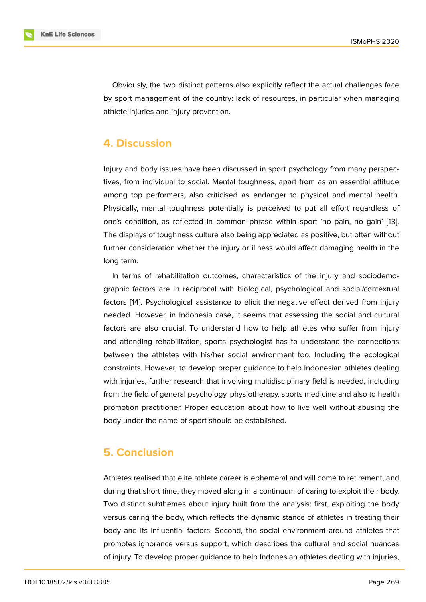Obviously, the two distinct patterns also explicitly reflect the actual challenges face by sport management of the country: lack of resources, in particular when managing athlete injuries and injury prevention.

### **4. Discussion**

Injury and body issues have been discussed in sport psychology from many perspectives, from individual to social. Mental toughness, apart from as an essential attitude among top performers, also criticised as endanger to physical and mental health. Physically, mental toughness potentially is perceived to put all effort regardless of one's condition, as reflected in common phrase within sport 'no pain, no gain' [13]. The displays of toughness culture also being appreciated as positive, but often without further consideration whether the injury or illness would affect damaging health in the long term.

In terms of rehabilitation outcomes, characteristics of the injury and sociodemographic factors are in reciprocal with biological, psychological and social/contextual factors [14]. Psychological assistance to elicit the negative effect derived from injury needed. However, in Indonesia case, it seems that assessing the social and cultural factors are also crucial. To understand how to help athletes who suffer from injury and att[end](#page-9-1)ing rehabilitation, sports psychologist has to understand the connections between the athletes with his/her social environment too. Including the ecological constraints. However, to develop proper guidance to help Indonesian athletes dealing with injuries, further research that involving multidisciplinary field is needed, including from the field of general psychology, physiotherapy, sports medicine and also to health promotion practitioner. Proper education about how to live well without abusing the body under the name of sport should be established.

# **5. Conclusion**

Athletes realised that elite athlete career is ephemeral and will come to retirement, and during that short time, they moved along in a continuum of caring to exploit their body. Two distinct subthemes about injury built from the analysis: first, exploiting the body versus caring the body, which reflects the dynamic stance of athletes in treating their body and its influential factors. Second, the social environment around athletes that promotes ignorance versus support, which describes the cultural and social nuances of injury. To develop proper guidance to help Indonesian athletes dealing with injuries,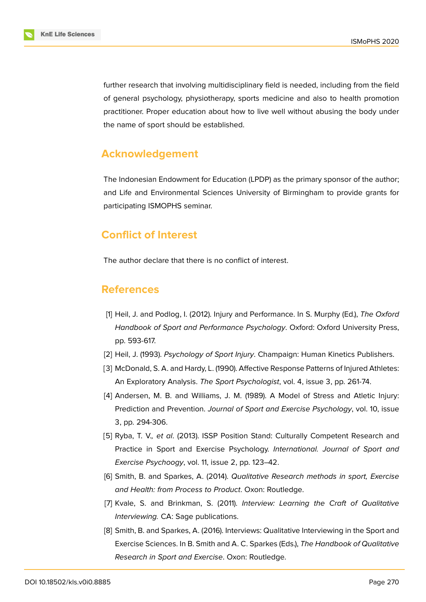further research that involving multidisciplinary field is needed, including from the field of general psychology, physiotherapy, sports medicine and also to health promotion practitioner. Proper education about how to live well without abusing the body under the name of sport should be established.

# **Acknowledgement**

The Indonesian Endowment for Education (LPDP) as the primary sponsor of the author; and Life and Environmental Sciences University of Birmingham to provide grants for participating ISMOPHS seminar.

# **Conflict of Interest**

The author declare that there is no conflict of interest.

### **References**

- <span id="page-8-0"></span>[1] Heil, J. and Podlog, I. (2012). Injury and Performance. In S. Murphy (Ed.), *The Oxford Handbook of Sport and Performance Psychology*. Oxford: Oxford University Press, pp. 593-617.
- <span id="page-8-2"></span><span id="page-8-1"></span>[2] Heil, J. (1993). *Psychology of Sport Injury*. Champaign: Human Kinetics Publishers.
- [3] McDonald, S. A. and Hardy, L. (1990). Affective Response Patterns of Injured Athletes: An Exploratory Analysis. *The Sport Psychologist*, vol. 4, issue 3, pp. 261-74.
- <span id="page-8-3"></span>[4] Andersen, M. B. and Williams, J. M. (1989). A Model of Stress and Atletic Injury: Prediction and Prevention. *Journal of Sport and Exercise Psychology*, vol. 10, issue 3, pp. 294-306.
- <span id="page-8-4"></span>[5] Ryba, T. V.*, et al*. (2013). ISSP Position Stand: Culturally Competent Research and Practice in Sport and Exercise Psychology. *International. Journal of Sport and Exercise Psychoogy*, vol. 11, issue 2, pp. 123–42.
- <span id="page-8-5"></span>[6] Smith, B. and Sparkes, A. (2014). *Qualitative Research methods in sport, Exercise and Health: from Process to Product*. Oxon: Routledge.
- [7] Kvale, S. and Brinkman, S. (2011). *Interview: Learning the Craft of Qualitative Interviewing.* CA: Sage publications.
- [8] Smith, B. and Sparkes, A. (2016). Interviews: Qualitative Interviewing in the Sport and Exercise Sciences. In B. Smith and A. C. Sparkes (Eds.), *The Handbook of Qualitative Research in Sport and Exercise*. Oxon: Routledge.